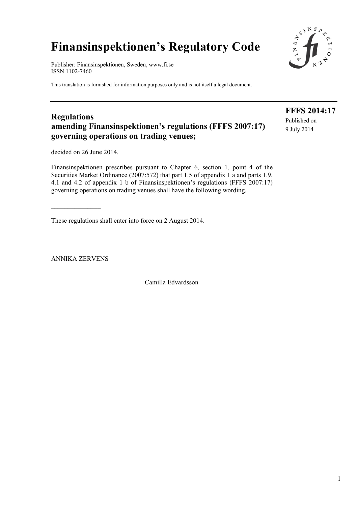# **Finansinspektionen's Regulatory Code**

Publisher: Finansinspektionen, Sweden, www.fi.se ISSN 1102-7460

This translation is furnished for information purposes only and is not itself a legal document.

# **Regulations amending Finansinspektionen's regulations (FFFS 2007:17) governing operations on trading venues;**

decided on 26 June 2014.

Finansinspektionen prescribes pursuant to Chapter 6, section 1, point 4 of the Securities Market Ordinance (2007:572) that part 1.5 of appendix 1 a and parts 1.9, 4.1 and 4.2 of appendix 1 b of Finansinspektionen's regulations (FFFS 2007:17) governing operations on trading venues shall have the following wording.

These regulations shall enter into force on 2 August 2014.

ANNIKA ZERVENS

Camilla Edvardsson

 $1$ 



**FFFS 2014:17**  Published on 9 July 2014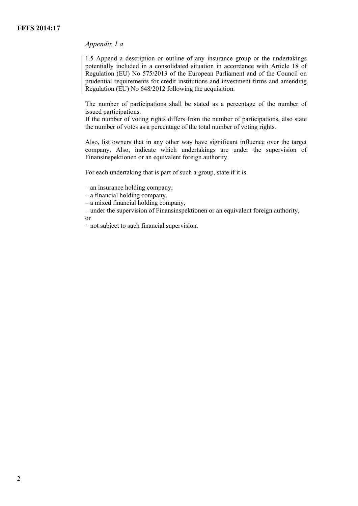# *Appendix 1 a*

1.5 Append a description or outline of any insurance group or the undertakings potentially included in a consolidated situation in accordance with Article 18 of Regulation (EU) No 575/2013 of the European Parliament and of the Council on prudential requirements for credit institutions and investment firms and amending Regulation (EU) No 648/2012 following the acquisition.

The number of participations shall be stated as a percentage of the number of issued participations.

If the number of voting rights differs from the number of participations, also state the number of votes as a percentage of the total number of voting rights.

Also, list owners that in any other way have significant influence over the target company. Also, indicate which undertakings are under the supervision of Finansinspektionen or an equivalent foreign authority.

For each undertaking that is part of such a group, state if it is

– an insurance holding company,

– a financial holding company,

– a mixed financial holding company,

– under the supervision of Finansinspektionen or an equivalent foreign authority, or

– not subject to such financial supervision.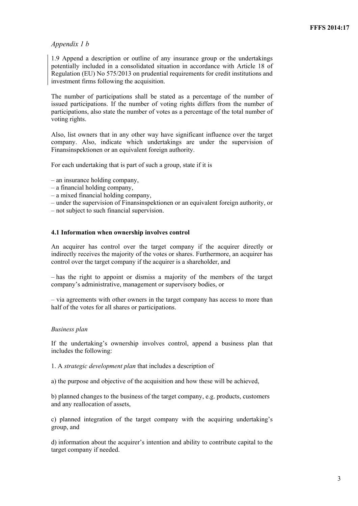## *Appendix 1 b*

1.9 Append a description or outline of any insurance group or the undertakings potentially included in a consolidated situation in accordance with Article 18 of Regulation (EU) No 575/2013 on prudential requirements for credit institutions and investment firms following the acquisition.

The number of participations shall be stated as a percentage of the number of issued participations. If the number of voting rights differs from the number of participations, also state the number of votes as a percentage of the total number of voting rights.

Also, list owners that in any other way have significant influence over the target company. Also, indicate which undertakings are under the supervision of Finansinspektionen or an equivalent foreign authority.

For each undertaking that is part of such a group, state if it is

- an insurance holding company,
- a financial holding company,
- a mixed financial holding company,
- under the supervision of Finansinspektionen or an equivalent foreign authority, or
- not subject to such financial supervision.

#### **4.1 Information when ownership involves control**

An acquirer has control over the target company if the acquirer directly or indirectly receives the majority of the votes or shares. Furthermore, an acquirer has control over the target company if the acquirer is a shareholder, and

– has the right to appoint or dismiss a majority of the members of the target company's administrative, management or supervisory bodies, or

– via agreements with other owners in the target company has access to more than half of the votes for all shares or participations.

#### *Business plan*

If the undertaking's ownership involves control, append a business plan that includes the following:

1. A *strategic development plan* that includes a description of

a) the purpose and objective of the acquisition and how these will be achieved,

b) planned changes to the business of the target company, e.g. products, customers and any reallocation of assets,

c) planned integration of the target company with the acquiring undertaking's group, and

d) information about the acquirer's intention and ability to contribute capital to the target company if needed.